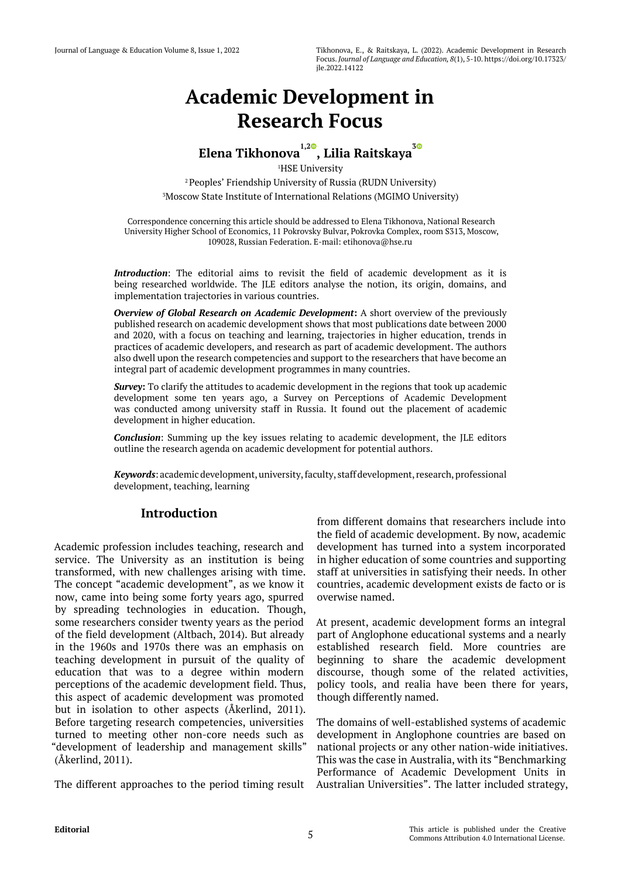# **Academic Development in Research Focus**

## **Elena Tikhonova1,2 [,](https://orcid.org/0000-0001-8252-6150) Lilia Raitskaya[3](https://orcid.org/0000-0003-2086-6090)**

1 HSE University 2 Peoples' Friendship University of Russia (RUDN University) 3 Moscow State Institute of International Relations (MGIMO University)

**Elena Tikhonova, Lilia Raitskaya** Correspondence concerning this article should be addressed to Elena Tikhonova, National Research University Higher School of Economics, 11 Pokrovsky Bulvar, Pokrovka Complex, room S313, Moscow, 109028, Russian Federation. E-mail: etihonova@hse.ru

*Introduction*: The editorial aims to revisit the field of academic development as it is being researched worldwide. The JLE editors analyse the notion, its origin, domains, and implementation trajectories in various countries.

*Overview of Global Research on Academic Development***:** A short overview of the previously published research on academic development shows that most publications date between 2000 and 2020, with a focus on teaching and learning, trajectories in higher education, trends in practices of academic developers, and research as part of academic development. The authors also dwell upon the research competencies and support to the researchers that have become an integral part of academic development programmes in many countries.

*Survey***:** To clarify the attitudes to academic development in the regions that took up academic development some ten years ago, a Survey on Perceptions of Academic Development was conducted among university staff in Russia. It found out the placement of academic development in higher education.

*Conclusion*: Summing up the key issues relating to academic development, the JLE editors outline the research agenda on academic development for potential authors.

*Keywords*: academic development, university, faculty, staff development, research, professional development, teaching, learning

## **Introduction**

Academic profession includes teaching, research and service. The University as an institution is being transformed, with new challenges arising with time. The concept "academic development", as we know it now, came into being some forty years ago, spurred by spreading technologies in education. Though, some researchers consider twenty years as the period of the field development (Altbach, 2014). But already in the 1960s and 1970s there was an emphasis on teaching development in pursuit of the quality of education that was to a degree within modern perceptions of the academic development field. Thus, this aspect of academic development was promoted but in isolation to other aspects (Åkerlind, 2011). Before targeting research competencies, universities turned to meeting other non-core needs such as "development of leadership and management skills" (Åkerlind, 2011).

The different approaches to the period timing result Australian Universities". The latter included strategy,

from different domains that researchers include into the field of academic development. By now, academic development has turned into a system incorporated in higher education of some countries and supporting staff at universities in satisfying their needs. In other countries, academic development exists de facto or is overwise named.

At present, academic development forms an integral part of Anglophone educational systems and a nearly established research field. More countries are beginning to share the academic development discourse, though some of the related activities, policy tools, and realia have been there for years, though differently named.

The domains of well-established systems of academic development in Anglophone countries are based on national projects or any other nation-wide initiatives. This was the case in Australia, with its "Benchmarking Performance of Academic Development Units in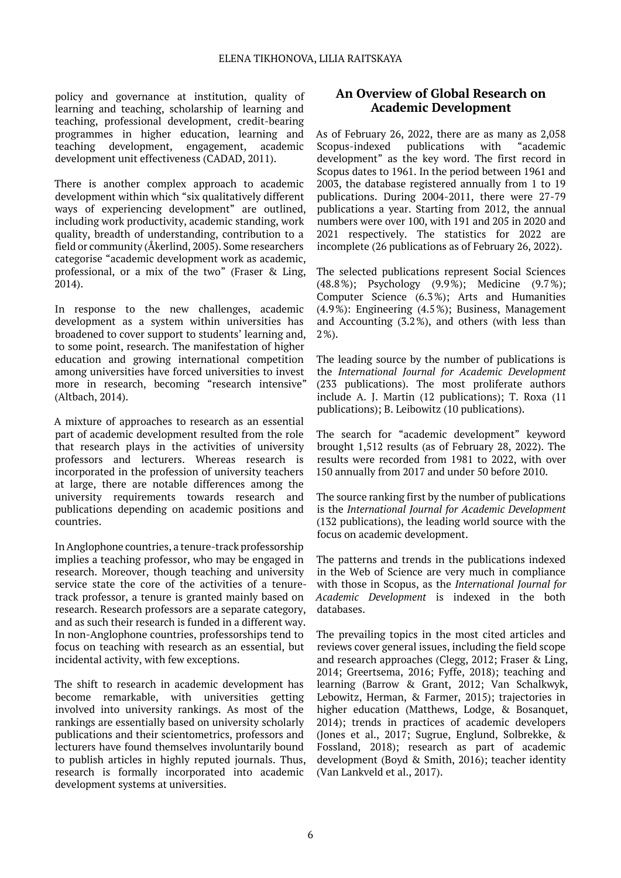policy and governance at institution, quality of learning and teaching, scholarship of learning and teaching, professional development, credit-bearing programmes in higher education, learning and teaching development, engagement, academic teaching development, engagement, academic development unit effectiveness (CADAD, 2011).

There is another complex approach to academic development within which "six qualitatively different ways of experiencing development" are outlined, including work productivity, academic standing, work quality, breadth of understanding, contribution to a field or community (Åkerlind, 2005). Some researchers categorise "academic development work as academic, professional, or a mix of the two" (Fraser & Ling, 2014).

In response to the new challenges, academic development as a system within universities has broadened to cover support to students' learning and, to some point, research. The manifestation of higher education and growing international competition among universities have forced universities to invest more in research, becoming "research intensive" (Altbach, 2014).

A mixture of approaches to research as an essential part of academic development resulted from the role that research plays in the activities of university professors and lecturers. Whereas research is incorporated in the profession of university teachers at large, there are notable differences among the university requirements towards research and publications depending on academic positions and countries.

In Anglophone countries, a tenure-track professorship implies a teaching professor, who may be engaged in research. Moreover, though teaching and university service state the core of the activities of a tenuretrack professor, a tenure is granted mainly based on research. Research professors are a separate category, and as such their research is funded in a different way. In non-Anglophone countries, professorships tend to focus on teaching with research as an essential, but incidental activity, with few exceptions.

The shift to research in academic development has become remarkable, with universities getting involved into university rankings. As most of the rankings are essentially based on university scholarly publications and their scientometrics, professors and lecturers have found themselves involuntarily bound to publish articles in highly reputed journals. Thus, research is formally incorporated into academic development systems at universities.

## **An Overview of Global Research on Academic Development**

As of February 26, 2022, there are as many as 2,058 Scopus-indexed publications with "academic development" as the key word. The first record in Scopus dates to 1961. In the period between 1961 and 2003, the database registered annually from 1 to 19 publications. During 2004-2011, there were 27-79 publications a year. Starting from 2012, the annual numbers were over 100, with 191 and 205 in 2020 and 2021 respectively. The statistics for 2022 are incomplete (26 publications as of February 26, 2022).

The selected publications represent Social Sciences (48.8%); Psychology (9.9%); Medicine (9.7%); Computer Science (6.3%); Arts and Humanities (4.9%): Engineering (4.5%); Business, Management and Accounting (3.2%), and others (with less than 2%).

The leading source by the number of publications is the *International Journal for Academic Development* (233 publications). The most proliferate authors include A. J. Martin (12 publications); T. Roxa (11 publications); B. Leibowitz (10 publications).

The search for "academic development" keyword brought 1,512 results (as of February 28, 2022). The results were recorded from 1981 to 2022, with over 150 annually from 2017 and under 50 before 2010.

The source ranking first by the number of publications is the *International Journal for Academic Development* (132 publications), the leading world source with the focus on academic development.

The patterns and trends in the publications indexed in the Web of Science are very much in compliance with those in Scopus, as the *International Journal for Academic Development* is indexed in the both databases.

The prevailing topics in the most cited articles and reviews cover general issues, including the field scope and research approaches (Clegg, 2012; Fraser & Ling, 2014; Greertsema, 2016; Fyffe, 2018); teaching and learning (Barrow & Grant, 2012; Van Schalkwyk, Lebowitz, Herman, & Farmer, 2015); trajectories in higher education (Matthews, Lodge, & Bosanquet, 2014); trends in practices of academic developers (Jones et al., 2017; Sugrue, Englund, Solbrekke, & Fossland, 2018); research as part of academic development (Boyd & Smith, 2016); teacher identity (Van Lankveld et al., 2017).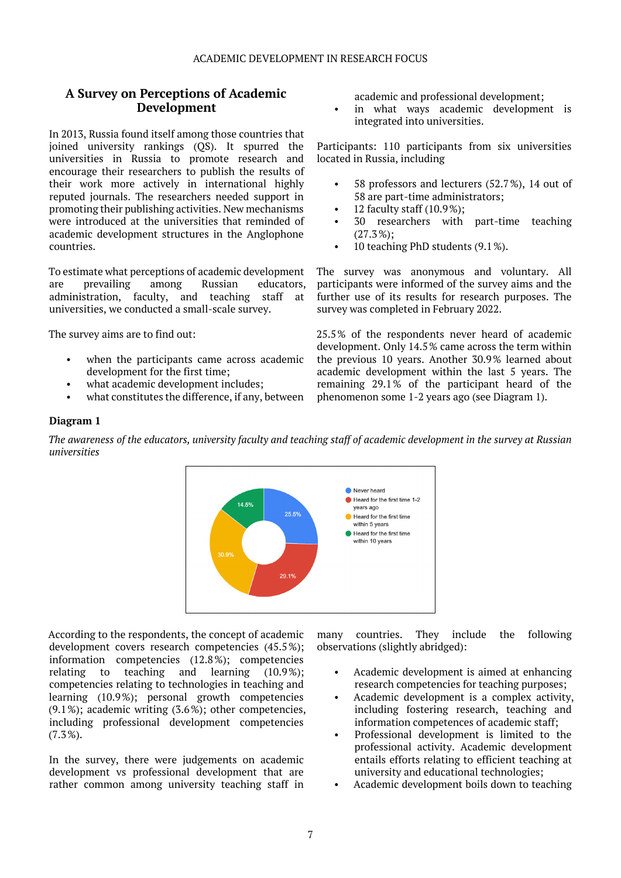#### ACADEMIC DEVELOPMENT IN RESEARCH FOCUS

## **A Survey on Perceptions of Academic Development**

In 2013, Russia found itself among those countries that joined university rankings (QS). It spurred the universities in Russia to promote research and encourage their researchers to publish the results of their work more actively in international highly reputed journals. The researchers needed support in promoting their publishing activities. New mechanisms were introduced at the universities that reminded of academic development structures in the Anglophone countries.

To estimate what perceptions of academic development are prevailing among Russian educators, administration, faculty, and teaching staff at universities, we conducted a small-scale survey.

The survey aims are to find out:

- when the participants came across academic development for the first time;
- what academic development includes;
- what constitutes the difference, if any, between

academic and professional development;

in what ways academic development is integrated into universities.

Participants: 110 participants from six universities located in Russia, including

- 58 professors and lecturers (52.7%), 14 out of 58 are part-time administrators;
- 12 faculty staff  $(10.9\%)$ ;
- 30 researchers with part-time teaching (27.3%);
- 10 teaching PhD students (9.1%).

The survey was anonymous and voluntary. All participants were informed of the survey aims and the further use of its results for research purposes. The survey was completed in February 2022.

25.5% of the respondents never heard of academic development. Only 14.5% came across the term within the previous 10 years. Another 30.9% learned about academic development within the last 5 years. The remaining 29.1% of the participant heard of the phenomenon some 1-2 years ago (see Diagram 1).

#### **Diagram 1**

*The awareness of the educators, university faculty and teaching staff of academic development in the survey at Russian universities*



According to the respondents, the concept of academic development covers research competencies (45.5%); information competencies (12.8%); competencies relating to teaching and learning (10.9%); competencies relating to technologies in teaching and learning (10.9%); personal growth competencies (9.1%); academic writing (3.6%); other competencies, including professional development competencies (7.3%).

In the survey, there were judgements on academic development vs professional development that are rather common among university teaching staff in many countries. They include the following observations (slightly abridged):

- Academic development is aimed at enhancing research competencies for teaching purposes;
- Academic development is a complex activity, including fostering research, teaching and information competences of academic staff;
- Professional development is limited to the professional activity. Academic development entails efforts relating to efficient teaching at university and educational technologies;
- Academic development boils down to teaching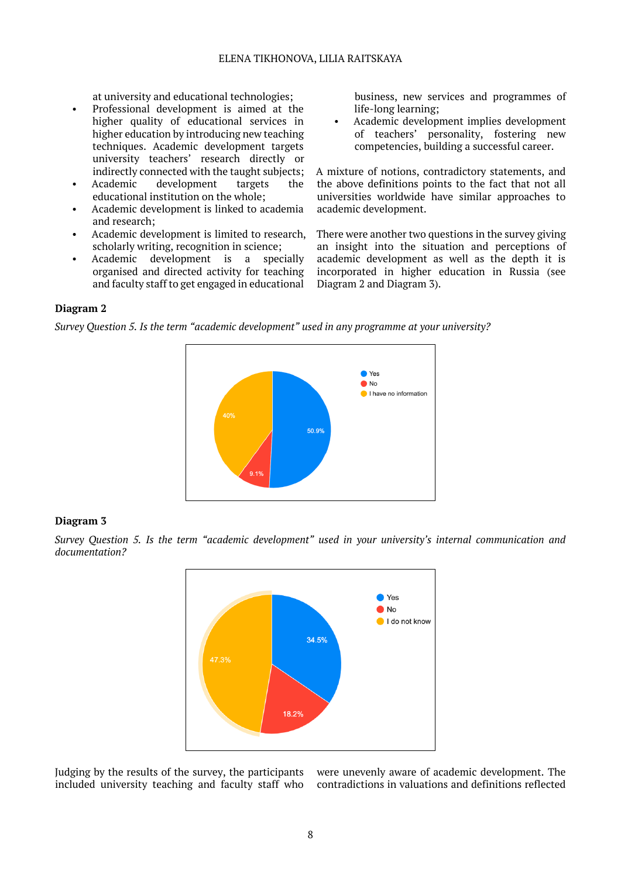at university and educational technologies;

- Professional development is aimed at the higher quality of educational services in higher education by introducing new teaching techniques. Academic development targets university teachers' research directly or indirectly connected with the taught subjects;
- Academic development targets the educational institution on the whole;
- Academic development is linked to academia and research;
- Academic development is limited to research, scholarly writing, recognition in science;
- Academic development is a specially organised and directed activity for teaching and faculty staff to get engaged in educational

business, new services and programmes of life-long learning;

• Academic development implies development of teachers' personality, fostering new competencies, building a successful career.

A mixture of notions, contradictory statements, and the above definitions points to the fact that not all universities worldwide have similar approaches to academic development.

There were another two questions in the survey giving an insight into the situation and perceptions of academic development as well as the depth it is incorporated in higher education in Russia (see Diagram 2 and Diagram 3).

### **Diagram 2**

*Survey Question 5. Is the term "academic development" used in any programme at your university?*



#### **Diagram 3**

*Survey Question 5. Is the term "academic development" used in your university's internal communication and documentation?*



Judging by the results of the survey, the participants included university teaching and faculty staff who were unevenly aware of academic development. The contradictions in valuations and definitions reflected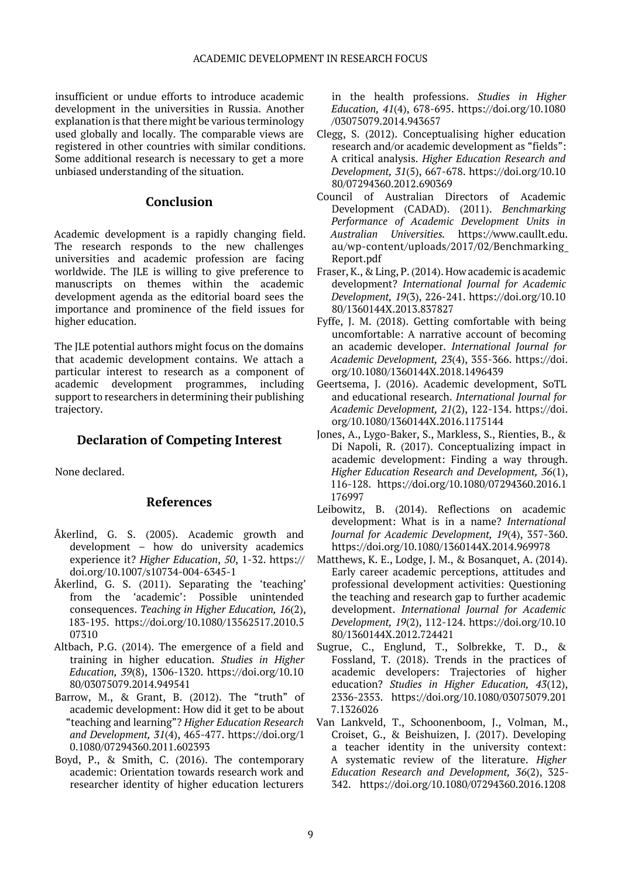insufficient or undue efforts to introduce academic development in the universities in Russia. Another explanation is that there might be various terminology used globally and locally. The comparable views are registered in other countries with similar conditions. Some additional research is necessary to get a more unbiased understanding of the situation.

## **Conclusion**

Academic development is a rapidly changing field. The research responds to the new challenges universities and academic profession are facing worldwide. The JLE is willing to give preference to manuscripts on themes within the academic development agenda as the editorial board sees the importance and prominence of the field issues for higher education.

The JLE potential authors might focus on the domains that academic development contains. We attach a particular interest to research as a component of academic development programmes, including support to researchers in determining their publishing trajectory.

## **Declaration of Competing Interest**

None declared.

#### **References**

- Åkerlind, G. S. (2005). Academic growth and development – how do university academics experience it? *Higher Education*, *50*, 1-32. https:// doi.org/10.1007/s10734-004-6345-1
- Åkerlind, G. S. (2011). Separating the 'teaching' from the 'academic': Possible unintended consequences. *Teaching in Higher Education, 16*(2), 183-195. https://doi.org/10.1080/13562517.2010.5 07310
- Altbach, P.G. (2014). The emergence of a field and training in higher education. *Studies in Higher Education, 39*(8), 1306-1320. https://doi.org/10.10 80/03075079.2014.949541
- Barrow, M., & Grant, B. (2012). The "truth" of academic development: How did it get to be about "teaching and learning"? *Higher Education Research and Development, 31*(4), 465-477. https://doi.org/1 0.1080/07294360.2011.602393
- Boyd, P., & Smith, C. (2016). The contemporary academic: Orientation towards research work and researcher identity of higher education lecturers

in the health professions. *Studies in Higher Education, 41*(4), 678-695. https://doi.org/10.1080 /03075079.2014.943657

- Clegg, S. (2012). Conceptualising higher education research and/or academic development as "fields": A critical analysis. *Higher Education Research and Development, 31*(5), 667-678. https://doi.org/10.10 80/07294360.2012.690369
- Council of Australian Directors of Academic Development (CADAD). (2011). *Benchmarking Performance of Academic Development Units in Australian Universities.* https://www.caullt.edu. au/wp-content/uploads/2017/02/Benchmarking\_ Report.pdf
- Fraser, K., & Ling, P. (2014). How academic is academic development? *International Journal for Academic Development, 19*(3), 226-241. https://doi.org/10.10 80/1360144X.2013.837827
- Fyffe, J. M. (2018). Getting comfortable with being uncomfortable: A narrative account of becoming an academic developer. *International Journal for Academic Development, 23*(4), 355-366. https://doi. org/10.1080/1360144X.2018.1496439
- Geertsema, J. (2016). Academic development, SoTL and educational research. *International Journal for Academic Development, 21*(2), 122-134. https://doi. org/10.1080/1360144X.2016.1175144
- Jones, A., Lygo-Baker, S., Markless, S., Rienties, B., & Di Napoli, R. (2017). Conceptualizing impact in academic development: Finding a way through. *Higher Education Research and Development, 36*(1), 116-128. https://doi.org/10.1080/07294360.2016.1 176997
- Leibowitz, B. (2014). Reflections on academic development: What is in a name? *International Journal for Academic Development, 19*(4), 357-360. https://doi.org/10.1080/1360144X.2014.969978
- Matthews, K. E., Lodge, J. M., & Bosanquet, A. (2014). Early career academic perceptions, attitudes and professional development activities: Questioning the teaching and research gap to further academic development. *International Journal for Academic Development, 19*(2), 112-124. https://doi.org/10.10 80/1360144X.2012.724421
- Sugrue, C., Englund, T., Solbrekke, T. D., & Fossland, T. (2018). Trends in the practices of academic developers: Trajectories of higher education? *Studies in Higher Education, 43*(12), 2336-2353. https://doi.org/10.1080/03075079.201 7.1326026
- Van Lankveld, T., Schoonenboom, J., Volman, M., Croiset, G., & Beishuizen, J. (2017). Developing a teacher identity in the university context: A systematic review of the literature. *Higher Education Research and Development, 36*(2), 325- 342. https://doi.org/10.1080/07294360.2016.1208